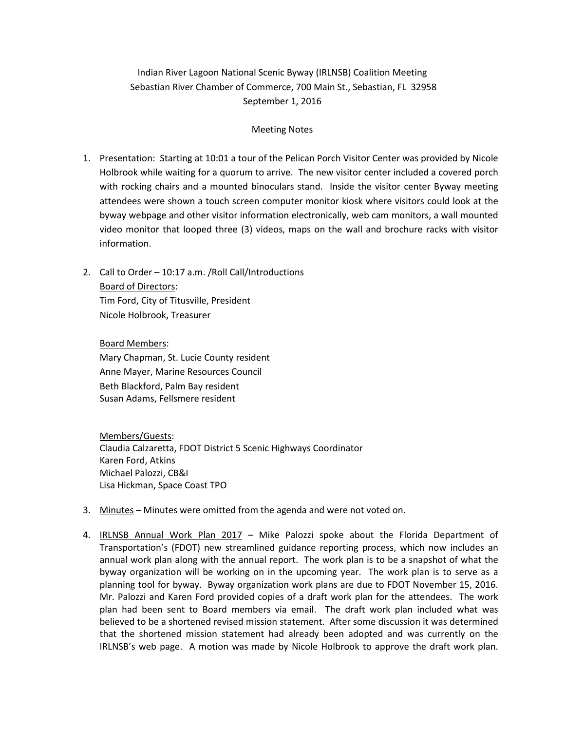## Indian River Lagoon National Scenic Byway (IRLNSB) Coalition Meeting Sebastian River Chamber of Commerce, 700 Main St., Sebastian, FL 32958 September 1, 2016

## Meeting Notes

- 1. Presentation: Starting at 10:01 a tour of the Pelican Porch Visitor Center was provided by Nicole Holbrook while waiting for a quorum to arrive. The new visitor center included a covered porch with rocking chairs and a mounted binoculars stand. Inside the visitor center Byway meeting attendees were shown a touch screen computer monitor kiosk where visitors could look at the byway webpage and other visitor information electronically, web cam monitors, a wall mounted video monitor that looped three (3) videos, maps on the wall and brochure racks with visitor information.
- 2. Call to Order 10:17 a.m. /Roll Call/Introductions Board of Directors: Tim Ford, City of Titusville, President Nicole Holbrook, Treasurer

Board Members: Mary Chapman, St. Lucie County resident Anne Mayer, Marine Resources Council Beth Blackford, Palm Bay resident Susan Adams, Fellsmere resident

Members/Guests: Claudia Calzaretta, FDOT District 5 Scenic Highways Coordinator Karen Ford, Atkins Michael Palozzi, CB&I Lisa Hickman, Space Coast TPO

- 3. Minutes Minutes were omitted from the agenda and were not voted on.
- 4. IRLNSB Annual Work Plan 2017 Mike Palozzi spoke about the Florida Department of Transportation's (FDOT) new streamlined guidance reporting process, which now includes an annual work plan along with the annual report. The work plan is to be a snapshot of what the byway organization will be working on in the upcoming year. The work plan is to serve as a planning tool for byway. Byway organization work plans are due to FDOT November 15, 2016. Mr. Palozzi and Karen Ford provided copies of a draft work plan for the attendees. The work plan had been sent to Board members via email. The draft work plan included what was believed to be a shortened revised mission statement. After some discussion it was determined that the shortened mission statement had already been adopted and was currently on the IRLNSB's web page. A motion was made by Nicole Holbrook to approve the draft work plan.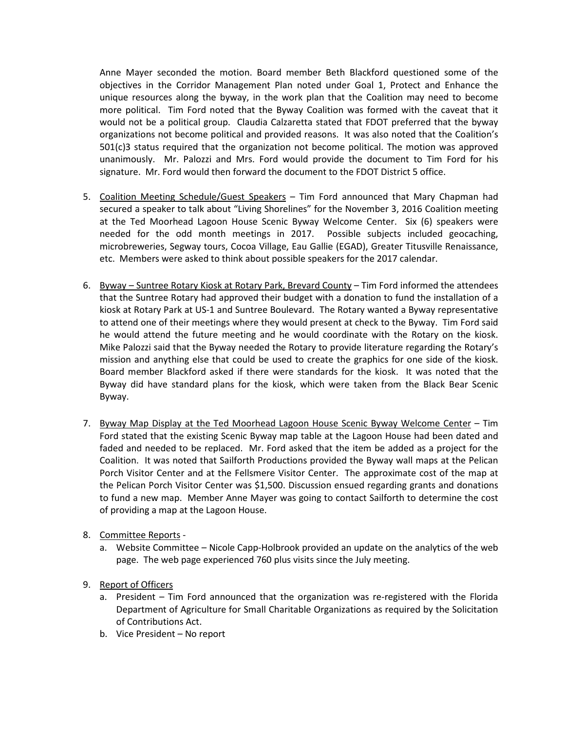Anne Mayer seconded the motion. Board member Beth Blackford questioned some of the objectives in the Corridor Management Plan noted under Goal 1, Protect and Enhance the unique resources along the byway, in the work plan that the Coalition may need to become more political. Tim Ford noted that the Byway Coalition was formed with the caveat that it would not be a political group. Claudia Calzaretta stated that FDOT preferred that the byway organizations not become political and provided reasons. It was also noted that the Coalition's 501(c)3 status required that the organization not become political. The motion was approved unanimously. Mr. Palozzi and Mrs. Ford would provide the document to Tim Ford for his signature. Mr. Ford would then forward the document to the FDOT District 5 office.

- 5. Coalition Meeting Schedule/Guest Speakers Tim Ford announced that Mary Chapman had secured a speaker to talk about "Living Shorelines" for the November 3, 2016 Coalition meeting at the Ted Moorhead Lagoon House Scenic Byway Welcome Center. Six (6) speakers were needed for the odd month meetings in 2017. Possible subjects included geocaching, microbreweries, Segway tours, Cocoa Village, Eau Gallie (EGAD), Greater Titusville Renaissance, etc. Members were asked to think about possible speakers for the 2017 calendar.
- 6. Byway Suntree Rotary Kiosk at Rotary Park, Brevard County Tim Ford informed the attendees that the Suntree Rotary had approved their budget with a donation to fund the installation of a kiosk at Rotary Park at US-1 and Suntree Boulevard. The Rotary wanted a Byway representative to attend one of their meetings where they would present at check to the Byway. Tim Ford said he would attend the future meeting and he would coordinate with the Rotary on the kiosk. Mike Palozzi said that the Byway needed the Rotary to provide literature regarding the Rotary's mission and anything else that could be used to create the graphics for one side of the kiosk. Board member Blackford asked if there were standards for the kiosk. It was noted that the Byway did have standard plans for the kiosk, which were taken from the Black Bear Scenic Byway.
- 7. Byway Map Display at the Ted Moorhead Lagoon House Scenic Byway Welcome Center Tim Ford stated that the existing Scenic Byway map table at the Lagoon House had been dated and faded and needed to be replaced. Mr. Ford asked that the item be added as a project for the Coalition. It was noted that Sailforth Productions provided the Byway wall maps at the Pelican Porch Visitor Center and at the Fellsmere Visitor Center. The approximate cost of the map at the Pelican Porch Visitor Center was \$1,500. Discussion ensued regarding grants and donations to fund a new map. Member Anne Mayer was going to contact Sailforth to determine the cost of providing a map at the Lagoon House.
- 8. Committee Reports
	- a. Website Committee Nicole Capp-Holbrook provided an update on the analytics of the web page. The web page experienced 760 plus visits since the July meeting.
- 9. Report of Officers
	- a. President Tim Ford announced that the organization was re-registered with the Florida Department of Agriculture for Small Charitable Organizations as required by the Solicitation of Contributions Act.
	- b. Vice President No report